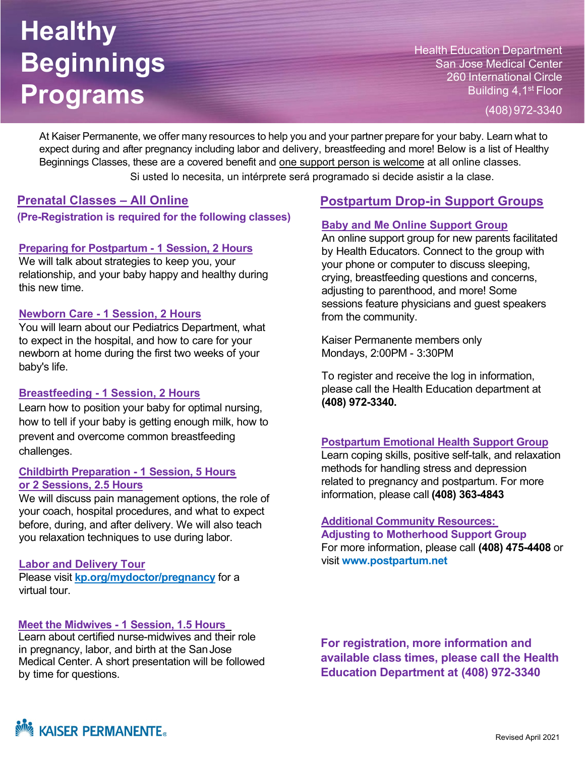# **Healthy Beginnings Programs**

Health Education Department San Jose Medical Center 260 International Circle Building 4, 1<sup>st</sup> Floor

(408) 972-3340

At Kaiser Permanente, we offer many resources to help you and your partner prepare for your baby. Learn what to expect during and after pregnancy including labor and delivery, breastfeeding and more! Below is a list of Healthy Beginnings Classes, these are a covered benefit and one support person is welcome at all online classes. Si usted lo necesita, un intérprete será programado si decide asistir a la clase.

### **Prenatal Classes – All Online**

**(Pre-Registration is required for the following classes)**

#### **Preparing for Postpartum - 1 Session, 2 Hours**

We will talk about strategies to keep you, your relationship, and your baby happy and healthy during this new time.

#### **Newborn Care - 1 Session, 2 Hours**

You will learn about our Pediatrics Department, what to expect in the hospital, and how to care for your newborn at home during the first two weeks of your baby's life.

#### **Breastfeeding - 1 Session, 2 Hours**

Learn how to position your baby for optimal nursing, how to tell if your baby is getting enough milk, how to prevent and overcome common breastfeeding challenges.

#### **Childbirth Preparation - 1 Session, 5 Hours or 2 Sessions, 2.5 Hours**

We will discuss pain management options, the role of your coach, hospital procedures, and what to expect before, during, and after delivery. We will also teach you relaxation techniques to use during labor.

#### **Labor and Delivery Tour**

Please visit **kp.org/mydoctor/pregnancy** for a virtual tour.

#### **Meet the Midwives - 1 Session, 1.5 Hours**

Learn about certified nurse-midwives and their role in pregnancy, labor, and birth at the SanJose Medical Center. A short presentation will be followed by time for questions.

## **Postpartum Drop-in Support Groups**

#### **Baby and Me Online Support Group**

An online support group for new parents facilitated by Health Educators. Connect to the group with your phone or computer to discuss sleeping, crying, breastfeeding questions and concerns, adjusting to parenthood, and more! Some sessions feature physicians and guest speakers from the community.

Kaiser Permanente members only Mondays, 2:00PM - 3:30PM

To register and receive the log in information, please call the Health Education department at **(408) 972-3340.**

#### **Postpartum Emotional Health Support Group**

Learn coping skills, positive self-talk, and relaxation methods for handling stress and depression related to pregnancy and postpartum. For more information, please call **(408) 363-4843**

#### **Additional Community Resources:**

**Adjusting to Motherhood Support Group** For more information, please call **(408) 475-4408** or visit **[www.postpartum.net](http://www.postpartum.net/)**

**For registration, more information and available class times, please call the Health Education Department at (408) 972-3340**